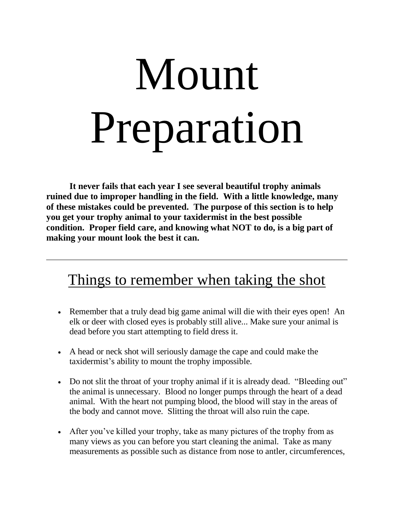# Mount Preparation

**It never fails that each year I see several beautiful trophy animals ruined due to improper handling in the field. With a little knowledge, many of these mistakes could be prevented. The purpose of this section is to help you get your trophy animal to your taxidermist in the best possible condition. Proper field care, and knowing what NOT to do, is a big part of making your mount look the best it can.**

## Things to remember when taking the shot

- Remember that a truly dead big game animal will die with their eyes open! An elk or deer with closed eyes is probably still alive... Make sure your animal is dead before you start attempting to field dress it.
- A head or neck shot will seriously damage the cape and could make the taxidermist's ability to mount the trophy impossible.
- Do not slit the throat of your trophy animal if it is already dead. "Bleeding out" the animal is unnecessary. Blood no longer pumps through the heart of a dead animal. With the heart not pumping blood, the blood will stay in the areas of the body and cannot move. Slitting the throat will also ruin the cape.
- After you've killed your trophy, take as many pictures of the trophy from as many views as you can before you start cleaning the animal. Take as many measurements as possible such as distance from nose to antler, circumferences,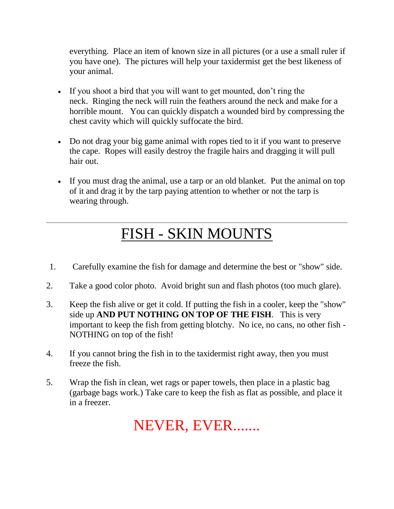everything. Place an item of known size in all pictures (or a use a small ruler if you have one). The pictures will help your taxidermist get the best likeness of your animal.

- If you shoot a bird that you will want to get mounted, don't ring the neck. Ringing the neck will ruin the feathers around the neck and make for a horrible mount. You can quickly dispatch a wounded bird by compressing the chest cavity which will quickly suffocate the bird.
- Do not drag your big game animal with ropes tied to it if you want to preserve the cape. Ropes will easily destroy the fragile hairs and dragging it will pull hair out.
- If you must drag the animal, use a tarp or an old blanket. Put the animal on top of it and drag it by the tarp paying attention to whether or not the tarp is wearing through.

# FISH - SKIN MOUNTS

- 1. Carefully examine the fish for damage and determine the best or "show" side.
- 2. Take a good color photo. Avoid bright sun and flash photos (too much glare).
- 3. Keep the fish alive or get it cold. If putting the fish in a cooler, keep the "show" side up **AND PUT NOTHING ON TOP OF THE FISH**. This is very important to keep the fish from getting blotchy. No ice, no cans, no other fish - NOTHING on top of the fish!
- 4. If you cannot bring the fish in to the taxidermist right away, then you must freeze the fish.
- 5. Wrap the fish in clean, wet rags or paper towels, then place in a plastic bag (garbage bags work.) Take care to keep the fish as flat as possible, and place it in a freezer.

NEVER, EVER.......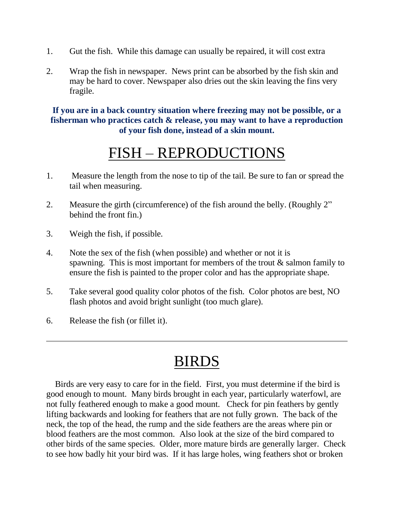- 1. Gut the fish. While this damage can usually be repaired, it will cost extra
- 2. Wrap the fish in newspaper. News print can be absorbed by the fish skin and may be hard to cover. Newspaper also dries out the skin leaving the fins very fragile.

#### **If you are in a back country situation where freezing may not be possible, or a fisherman who practices catch & release, you may want to have a reproduction of your fish done, instead of a skin mount.**

## FISH – REPRODUCTIONS

- 1. Measure the length from the nose to tip of the tail. Be sure to fan or spread the tail when measuring.
- 2. Measure the girth (circumference) of the fish around the belly. (Roughly 2" behind the front fin.)
- 3. Weigh the fish, if possible.
- 4. Note the sex of the fish (when possible) and whether or not it is spawning. This is most important for members of the trout  $\&$  salmon family to ensure the fish is painted to the proper color and has the appropriate shape.
- 5. Take several good quality color photos of the fish. Color photos are best, NO flash photos and avoid bright sunlight (too much glare).
- 6. Release the fish (or fillet it).

# BIRDS

 Birds are very easy to care for in the field. First, you must determine if the bird is good enough to mount. Many birds brought in each year, particularly waterfowl, are not fully feathered enough to make a good mount. Check for pin feathers by gently lifting backwards and looking for feathers that are not fully grown. The back of the neck, the top of the head, the rump and the side feathers are the areas where pin or blood feathers are the most common. Also look at the size of the bird compared to other birds of the same species. Older, more mature birds are generally larger. Check to see how badly hit your bird was. If it has large holes, wing feathers shot or broken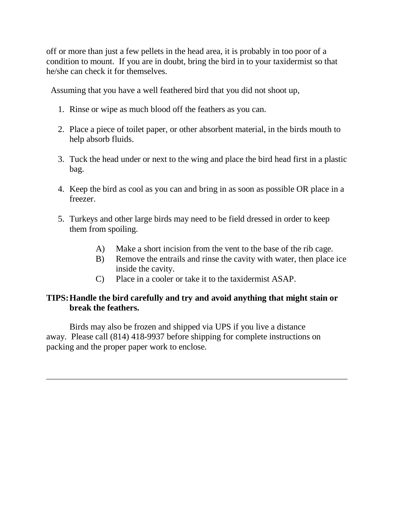off or more than just a few pellets in the head area, it is probably in too poor of a condition to mount. If you are in doubt, bring the bird in to your taxidermist so that he/she can check it for themselves.

Assuming that you have a well feathered bird that you did not shoot up,

- 1. Rinse or wipe as much blood off the feathers as you can.
- 2. Place a piece of toilet paper, or other absorbent material, in the birds mouth to help absorb fluids.
- 3. Tuck the head under or next to the wing and place the bird head first in a plastic bag.
- 4. Keep the bird as cool as you can and bring in as soon as possible OR place in a freezer.
- 5. Turkeys and other large birds may need to be field dressed in order to keep them from spoiling.
	- A) Make a short incision from the vent to the base of the rib cage.
	- B) Remove the entrails and rinse the cavity with water, then place ice inside the cavity.
	- C) Place in a cooler or take it to the taxidermist ASAP.

#### **TIPS:Handle the bird carefully and try and avoid anything that might stain or break the feathers.**

Birds may also be frozen and shipped via UPS if you live a distance away. Please call (814) 418-9937 before shipping for complete instructions on packing and the proper paper work to enclose.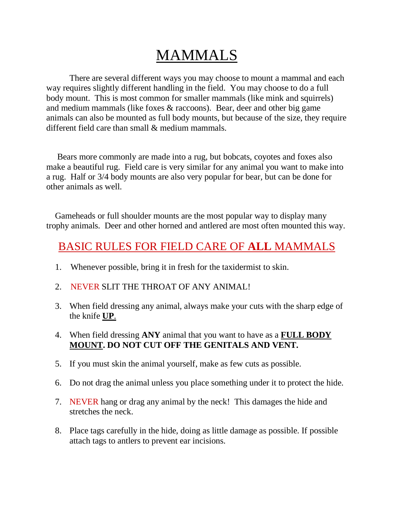## MAMMALS

There are several different ways you may choose to mount a mammal and each way requires slightly different handling in the field. You may choose to do a full body mount. This is most common for smaller mammals (like mink and squirrels) and medium mammals (like foxes & raccoons). Bear, deer and other big game animals can also be mounted as full body mounts, but because of the size, they require different field care than small & medium mammals.

 Bears more commonly are made into a rug, but bobcats, coyotes and foxes also make a beautiful rug. Field care is very similar for any animal you want to make into a rug. Half or 3/4 body mounts are also very popular for bear, but can be done for other animals as well.

 Gameheads or full shoulder mounts are the most popular way to display many trophy animals. Deer and other horned and antlered are most often mounted this way.

## BASIC RULES FOR FIELD CARE OF **ALL** MAMMALS

- 1. Whenever possible, bring it in fresh for the taxidermist to skin.
- 2. NEVER SLIT THE THROAT OF ANY ANIMAL!
- 3. When field dressing any animal, always make your cuts with the sharp edge of the knife **UP**.
- 4. When field dressing **ANY** animal that you want to have as a **FULL BODY MOUNT. DO NOT CUT OFF THE GENITALS AND VENT.**
- 5. If you must skin the animal yourself, make as few cuts as possible.
- 6. Do not drag the animal unless you place something under it to protect the hide.
- 7. NEVER hang or drag any animal by the neck! This damages the hide and stretches the neck.
- 8. Place tags carefully in the hide, doing as little damage as possible. If possible attach tags to antlers to prevent ear incisions.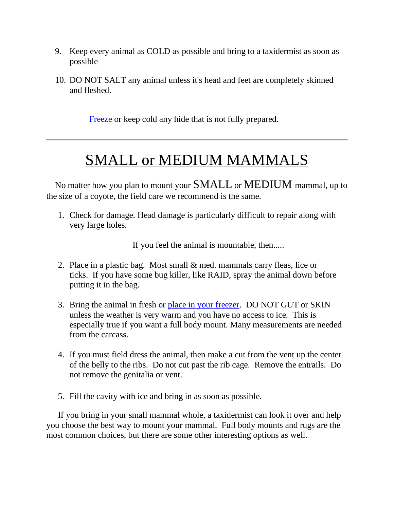- 9. Keep every animal as COLD as possible and bring to a taxidermist as soon as possible
- 10. DO NOT SALT any animal unless it's head and feet are completely skinned and fleshed.

[Freeze](http://www.simpsontaxidermy.com/TrophyCare.htm#FREEZING) or keep cold any hide that is not fully prepared.

## SMALL or MEDIUM MAMMALS

 No matter how you plan to mount your SMALL or MEDIUM mammal, up to the size of a coyote, the field care we recommend is the same.

1. Check for damage. Head damage is particularly difficult to repair along with very large holes.

If you feel the animal is mountable, then.....

- 2. Place in a plastic bag. Most small & med. mammals carry fleas, lice or ticks. If you have some bug killer, like RAID, spray the animal down before putting it in the bag.
- 3. Bring the animal in fresh or [place in your freezer.](http://www.simpsontaxidermy.com/TrophyCare.htm#FREEZING) DO NOT GUT or SKIN unless the weather is very warm and you have no access to ice. This is especially true if you want a full body mount. Many measurements are needed from the carcass.
- 4. If you must field dress the animal, then make a cut from the vent up the center of the belly to the ribs. Do not cut past the rib cage. Remove the entrails. Do not remove the genitalia or vent.
- 5. Fill the cavity with ice and bring in as soon as possible.

If you bring in your small mammal whole, a taxidermist can look it over and help you choose the best way to mount your mammal. Full body mounts and rugs are the most common choices, but there are some other interesting options as well.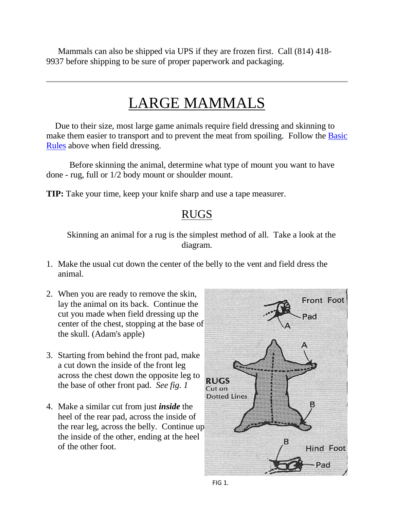Mammals can also be shipped via UPS if they are frozen first. Call (814) 418- 9937 before shipping to be sure of proper paperwork and packaging.

## LARGE MAMMALS

 Due to their size, most large game animals require field dressing and skinning to make them easier to transport and to prevent the meat from spoiling. Follow the **Basic** [Rules](http://www.simpsontaxidermy.com/TrophyCare.htm#BASIC) above when field dressing.

Before skinning the animal, determine what type of mount you want to have done - rug, full or 1/2 body mount or shoulder mount.

**TIP:** Take your time, keep your knife sharp and use a tape measurer.

## RUGS

 Skinning an animal for a rug is the simplest method of all. Take a look at the diagram.

- 1. Make the usual cut down the center of the belly to the vent and field dress the animal.
- 2. When you are ready to remove the skin, lay the animal on its back. Continue the cut you made when field dressing up the center of the chest, stopping at the base of the skull. (Adam's apple)
- 3. Starting from behind the front pad, make a cut down the inside of the front leg across the chest down the opposite leg to the base of other front pad. *See fig. 1*
- 4. Make a similar cut from just *inside* the heel of the rear pad, across the inside of the rear leg, across the belly. Continue up the inside of the other, ending at the heel of the other foot.

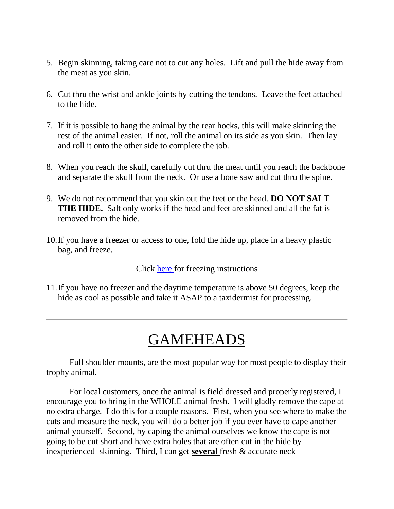- 5. Begin skinning, taking care not to cut any holes. Lift and pull the hide away from the meat as you skin.
- 6. Cut thru the wrist and ankle joints by cutting the tendons. Leave the feet attached to the hide.
- 7. If it is possible to hang the animal by the rear hocks, this will make skinning the rest of the animal easier. If not, roll the animal on its side as you skin. Then lay and roll it onto the other side to complete the job.
- 8. When you reach the skull, carefully cut thru the meat until you reach the backbone and separate the skull from the neck. Or use a bone saw and cut thru the spine.
- 9. We do not recommend that you skin out the feet or the head. **DO NOT SALT THE HIDE.** Salt only works if the head and feet are skinned and all the fat is removed from the hide.
- 10.If you have a freezer or access to one, fold the hide up, place in a heavy plastic bag, and freeze.

Click [here](http://www.simpsontaxidermy.com/TrophyCare.htm#FREEZING) for freezing instructions

11.If you have no freezer and the daytime temperature is above 50 degrees, keep the hide as cool as possible and take it ASAP to a taxidermist for processing.

## GAMEHEADS

Full shoulder mounts, are the most popular way for most people to display their trophy animal.

For local customers, once the animal is field dressed and properly registered, I encourage you to bring in the WHOLE animal fresh. I will gladly remove the cape at no extra charge. I do this for a couple reasons. First, when you see where to make the cuts and measure the neck, you will do a better job if you ever have to cape another animal yourself. Second, by caping the animal ourselves we know the cape is not going to be cut short and have extra holes that are often cut in the hide by inexperienced skinning. Third, I can get **several** fresh & accurate neck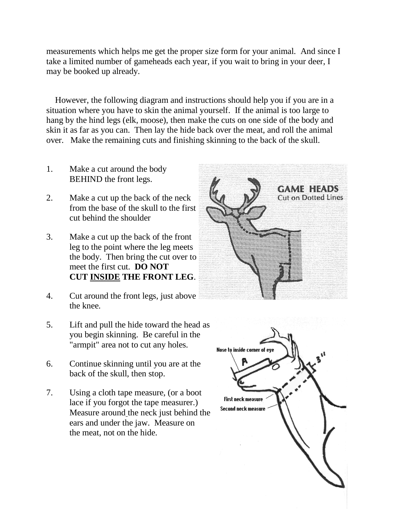measurements which helps me get the proper size form for your animal. And since I take a limited number of gameheads each year, if you wait to bring in your deer, I may be booked up already.

 However, the following diagram and instructions should help you if you are in a situation where you have to skin the animal yourself. If the animal is too large to hang by the hind legs (elk, moose), then make the cuts on one side of the body and skin it as far as you can. Then lay the hide back over the meat, and roll the animal over. Make the remaining cuts and finishing skinning to the back of the skull.

- 1. Make a cut around the body BEHIND the front legs.
- 2. Make a cut up the back of the neck from the base of the skull to the first cut behind the shoulder
- 3. Make a cut up the back of the front leg to the point where the leg meets the body. Then bring the cut over to meet the first cut. **DO NOT CUT INSIDE THE FRONT LEG**.
- 4. Cut around the front legs, just above the knee.
- 5. Lift and pull the hide toward the head as you begin skinning. Be careful in the "armpit" area not to cut any holes.
- 6. Continue skinning until you are at the back of the skull, then stop.
- 7. Using a cloth tape measure, (or a boot lace if you forgot the tape measurer.) Measure around the neck just behind the ears and under the jaw. Measure on the meat, not on the hide.



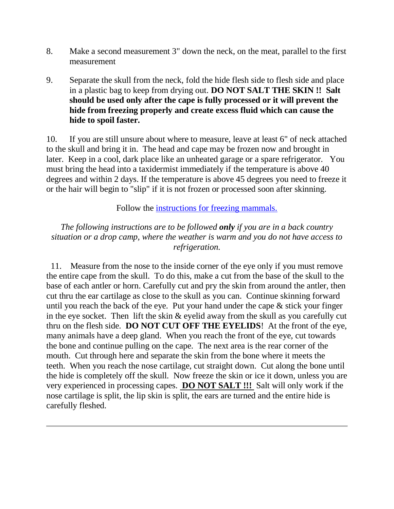- 8. Make a second measurement 3" down the neck, on the meat, parallel to the first measurement
- 9. Separate the skull from the neck, fold the hide flesh side to flesh side and place in a plastic bag to keep from drying out. **DO NOT SALT THE SKIN !! Salt should be used only after the cape is fully processed or it will prevent the hide from freezing properly and create excess fluid which can cause the hide to spoil faster.**

10. If you are still unsure about where to measure, leave at least 6" of neck attached to the skull and bring it in. The head and cape may be frozen now and brought in later. Keep in a cool, dark place like an unheated garage or a spare refrigerator. You must bring the head into a taxidermist immediately if the temperature is above 40 degrees and within 2 days. If the temperature is above 45 degrees you need to freeze it or the hair will begin to "slip" if it is not frozen or processed soon after skinning.

Follow the [instructions for freezing mammals.](http://www.simpsontaxidermy.com/TrophyCare.htm#FREEZING)

*The following instructions are to be followed only if you are in a back country situation or a drop camp, where the weather is warm and you do not have access to refrigeration.*

11. Measure from the nose to the inside corner of the eye only if you must remove the entire cape from the skull. To do this, make a cut from the base of the skull to the base of each antler or horn. Carefully cut and pry the skin from around the antler, then cut thru the ear cartilage as close to the skull as you can. Continue skinning forward until you reach the back of the eye. Put your hand under the cape  $\&$  stick your finger in the eye socket. Then lift the skin  $&$  eyelid away from the skull as you carefully cut thru on the flesh side. **DO NOT CUT OFF THE EYELIDS**! At the front of the eye, many animals have a deep gland. When you reach the front of the eye, cut towards the bone and continue pulling on the cape. The next area is the rear corner of the mouth. Cut through here and separate the skin from the bone where it meets the teeth. When you reach the nose cartilage, cut straight down. Cut along the bone until the hide is completely off the skull. Now freeze the skin or ice it down, unless you are very experienced in processing capes. **DO NOT SALT !!!** Salt will only work if the nose cartilage is split, the lip skin is split, the ears are turned and the entire hide is carefully fleshed.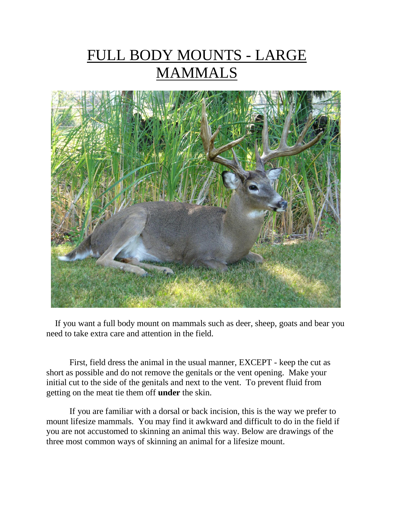# FULL BODY MOUNTS - LARGE **MAMMALS**



 If you want a full body mount on mammals such as deer, sheep, goats and bear you need to take extra care and attention in the field.

First, field dress the animal in the usual manner, EXCEPT - keep the cut as short as possible and do not remove the genitals or the vent opening. Make your initial cut to the side of the genitals and next to the vent. To prevent fluid from getting on the meat tie them off **under** the skin.

If you are familiar with a dorsal or back incision, this is the way we prefer to mount lifesize mammals. You may find it awkward and difficult to do in the field if you are not accustomed to skinning an animal this way. Below are drawings of the three most common ways of skinning an animal for a lifesize mount.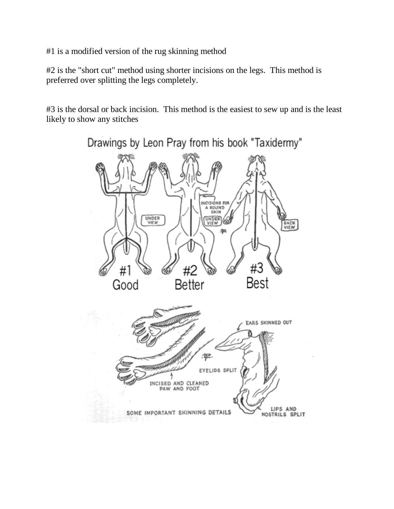#1 is a modified version of the rug skinning method

#2 is the "short cut" method using shorter incisions on the legs. This method is preferred over splitting the legs completely.

#3 is the dorsal or back incision. This method is the easiest to sew up and is the least likely to show any stitches

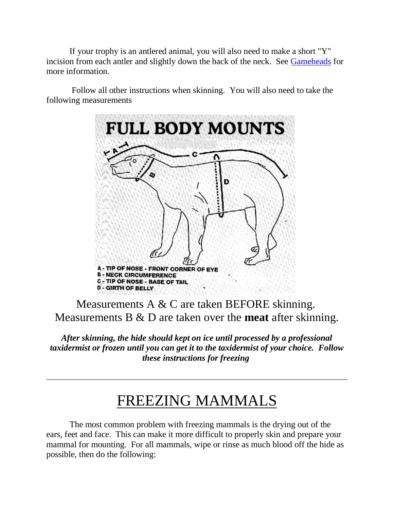If your trophy is an antlered animal, you will also need to make a short "Y" incision from each antler and slightly down the back of the neck. See Gameheads for more information.

Follow all other instructions when skinning. You will also need to take the following measurements



Measurements A & C are taken BEFORE skinning. Measurements B & D are taken over the **meat** after skinning.

*After skinning, the hide should kept on ice until processed by a professional taxidermist or frozen until you can get it to the taxidermist of your choice. Follow these instructions for freezing*

## FREEZING MAMMALS

The most common problem with freezing mammals is the drying out of the ears, feet and face. This can make it more difficult to properly skin and prepare your mammal for mounting. For all mammals, wipe or rinse as much blood off the hide as possible, then do the following: